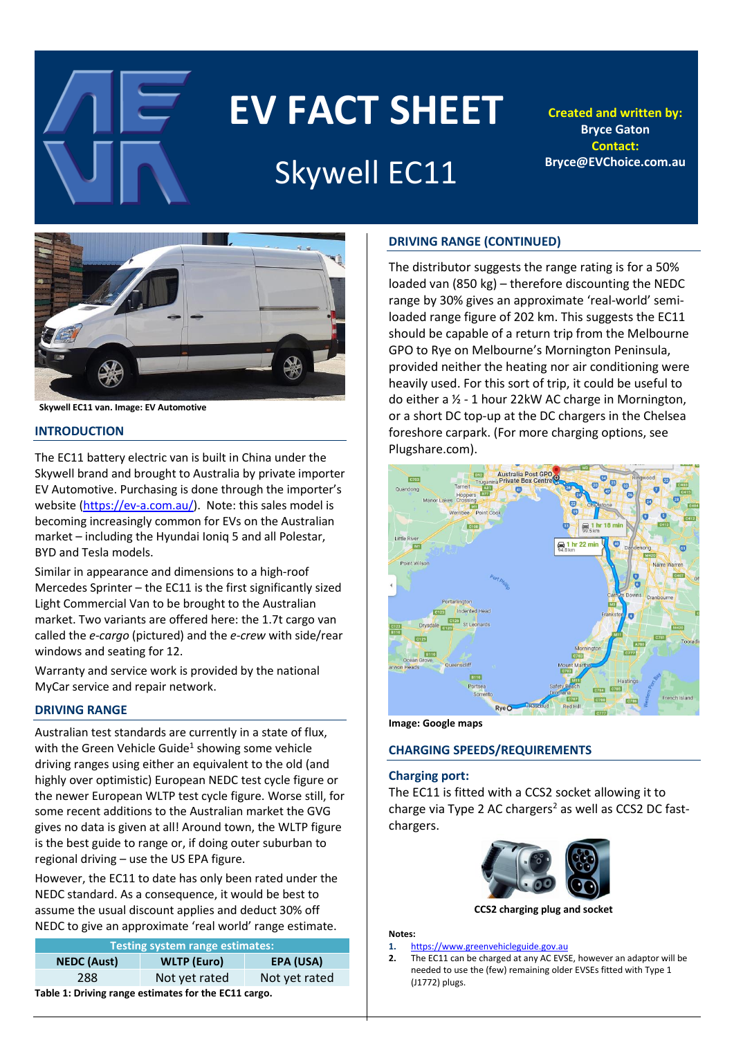

# **EV FACT SHEET**

# Skywell EC11

**Created and written by: Bryce Gaton Contact: Bryce@EVChoice.com.au**



 **Skywell EC11 van. Image: EV Automotive**

#### **INTRODUCTION**

The EC11 battery electric van is built in China under the Skywell brand and brought to Australia by private importer EV Automotive. Purchasing is done through the importer's website [\(https://ev-a.com.au/\)](https://ev-a.com.au/). Note: this sales model is becoming increasingly common for EVs on the Australian market – including the Hyundai Ioniq 5 and all Polestar, BYD and Tesla models.

Similar in appearance and dimensions to a high-roof Mercedes Sprinter – the EC11 is the first significantly sized Light Commercial Van to be brought to the Australian market. Two variants are offered here: the 1.7t cargo van called the *e-cargo* (pictured) and the *e-crew* with side/rear windows and seating for 12.

Warranty and service work is provided by the national MyCar service and repair network.

# **DRIVING RANGE**

Australian test standards are currently in a state of flux, with the Green Vehicle Guide<sup>1</sup> showing some vehicle driving ranges using either an equivalent to the old (and highly over optimistic) European NEDC test cycle figure or the newer European WLTP test cycle figure. Worse still, for some recent additions to the Australian market the GVG gives no data is given at all! Around town, the WLTP figure is the best guide to range or, if doing outer suburban to regional driving – use the US EPA figure.

However, the EC11 to date has only been rated under the NEDC standard. As a consequence, it would be best to assume the usual discount applies and deduct 30% off NEDC to give an approximate 'real world' range estimate.

| <b>Testing system range estimates:</b>               |                    |               |  |  |  |  |
|------------------------------------------------------|--------------------|---------------|--|--|--|--|
| <b>NEDC</b> (Aust)                                   | <b>WLTP</b> (Euro) |               |  |  |  |  |
| 288                                                  | Not yet rated      | Not yet rated |  |  |  |  |
| Table 1: Driving range estimates for the EC11 cargo. |                    |               |  |  |  |  |

# **DRIVING RANGE (CONTINUED)**

The distributor suggests the range rating is for a 50% loaded van (850 kg) – therefore discounting the NEDC range by 30% gives an approximate 'real-world' semiloaded range figure of 202 km. This suggests the EC11 should be capable of a return trip from the Melbourne GPO to Rye on Melbourne's Mornington Peninsula, provided neither the heating nor air conditioning were heavily used. For this sort of trip, it could be useful to do either a ½ - 1 hour 22kW AC charge in Mornington, or a short DC top-up at the DC chargers in the Chelsea foreshore carpark. (For more charging options, see Plugshare.com).



**Image: Google maps**

# **CHARGING SPEEDS/REQUIREMENTS**

#### **Charging port:**

The EC11 is fitted with a CCS2 socket allowing it to charge via Type 2 AC chargers<sup>2</sup> as well as CCS2 DC fastchargers.



**CCS2 charging plug and socket**

#### **Notes:**

- **1.** [https://www.greenvehicleguide.gov.au](https://www.greenvehicleguide.gov.au/)
- **2.** The EC11 can be charged at any AC EVSE, however an adaptor will be needed to use the (few) remaining older EVSEs fitted with Type 1 (J1772) plugs.